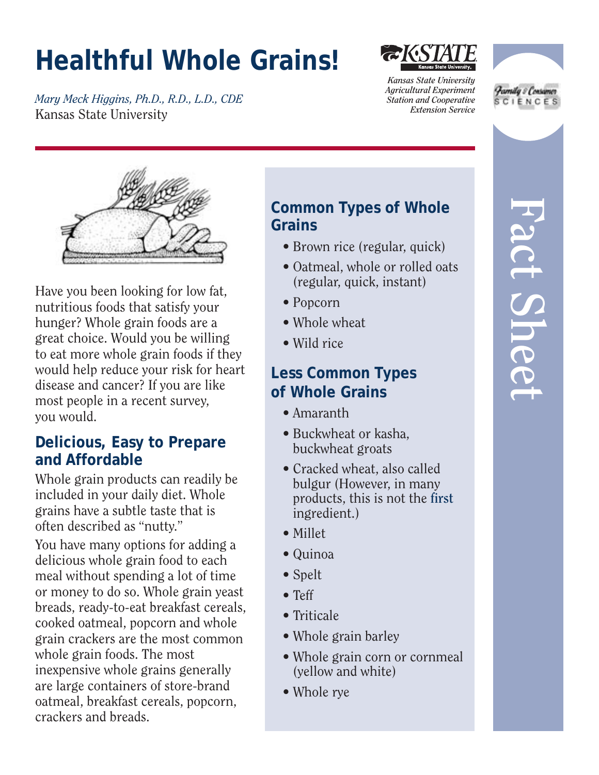# **Healthful Whole Grains!**

*Mary Meck Higgins, Ph.D., R.D., L.D., CDE* Kansas State University



*Kansas State University Agricultural Experiment Station and Cooperative Extension Service*



Have you been looking for low fat, nutritious foods that satisfy your hunger? Whole grain foods are a great choice. Would you be willing to eat more whole grain foods if they would help reduce your risk for heart disease and cancer? If you are like most people in a recent survey, you would.

# **Delicious, Easy to Prepare and Affordable**

Whole grain products can readily be included in your daily diet. Whole grains have a subtle taste that is often described as "nutty."

You have many options for adding a delicious whole grain food to each meal without spending a lot of time or money to do so. Whole grain yeast breads, ready-to-eat breakfast cereals, cooked oatmeal, popcorn and whole grain crackers are the most common whole grain foods. The most inexpensive whole grains generally are large containers of store-brand oatmeal, breakfast cereals, popcorn, crackers and breads.

## **Common Types of Whole Grains**

- Brown rice (regular, quick)
- Oatmeal, whole or rolled oats (regular, quick, instant)
- Popcorn
- Whole wheat
- Wild rice

## **Less Common Types of Whole Grains**

- Amaranth
- Buckwheat or kasha, buckwheat groats
- Cracked wheat, also called bulgur (However, in many products, this is not the **first**  ingredient.)
- Millet
- Quinoa
- Spelt
- Teff
- Triticale
- Whole grain barley
- Whole grain corn or cornmeal (yellow and white)
- Whole rye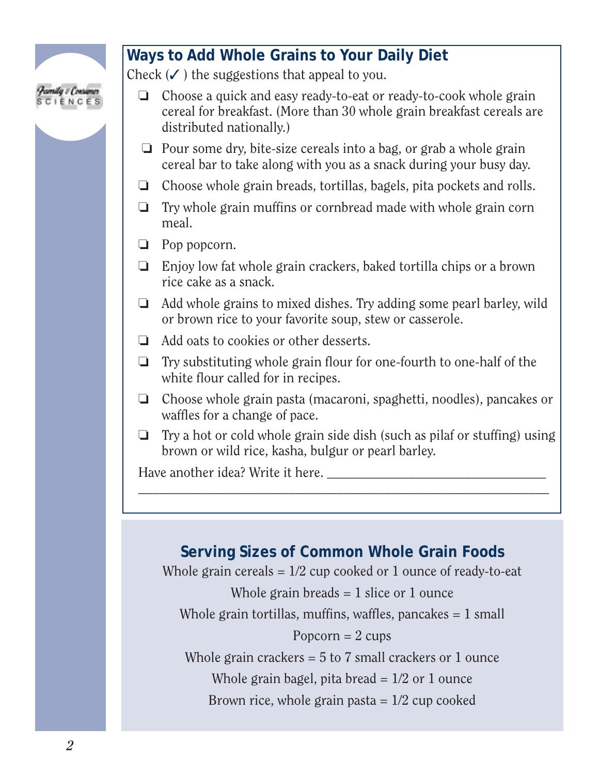

# **Ways to Add Whole Grains to Your Daily Diet**

Check  $(V)$  the suggestions that appeal to you.

- ❏ Choose a quick and easy ready-to-eat or ready-to-cook whole grain cereal for breakfast. (More than 30 whole grain breakfast cereals are distributed nationally.)
- ❏ Pour some dry, bite-size cereals into a bag, or grab a whole grain cereal bar to take along with you as a snack during your busy day.
- ❏ Choose whole grain breads, tortillas, bagels, pita pockets and rolls.
- ❏ Try whole grain muffins or cornbread made with whole grain corn meal.
- ❏ Pop popcorn.
- ❏ Enjoy low fat whole grain crackers, baked tortilla chips or a brown rice cake as a snack.
- ❏ Add whole grains to mixed dishes. Try adding some pearl barley, wild or brown rice to your favorite soup, stew or casserole.
- ❏ Add oats to cookies or other desserts.
- ❏ Try substituting whole grain flour for one-fourth to one-half of the white flour called for in recipes.
- ❏ Choose whole grain pasta (macaroni, spaghetti, noodles), pancakes or waffles for a change of pace.
- ❏ Try a hot or cold whole grain side dish (such as pilaf or stuffing) using brown or wild rice, kasha, bulgur or pearl barley.

\_\_\_\_\_\_\_\_\_\_\_\_\_\_\_\_\_\_\_\_\_\_\_\_\_\_\_\_\_\_\_\_\_\_\_\_\_\_\_\_\_\_\_\_\_\_\_\_\_\_\_\_\_\_\_\_\_\_\_\_

Have another idea? Write it here. \_\_\_\_\_\_\_\_\_\_\_\_\_\_\_\_\_\_\_\_\_\_\_\_\_\_\_\_\_\_\_\_

#### **Serving Sizes of Common Whole Grain Foods**

Whole grain cereals  $= 1/2$  cup cooked or 1 ounce of ready-to-eat Whole grain breads  $= 1$  slice or 1 ounce Whole grain tortillas, muffins, waffles, pancakes  $= 1$  small Popcorn  $= 2$  cups Whole grain crackers = 5 to 7 small crackers or 1 ounce Whole grain bagel, pita bread  $= 1/2$  or 1 ounce Brown rice, whole grain pasta  $= 1/2$  cup cooked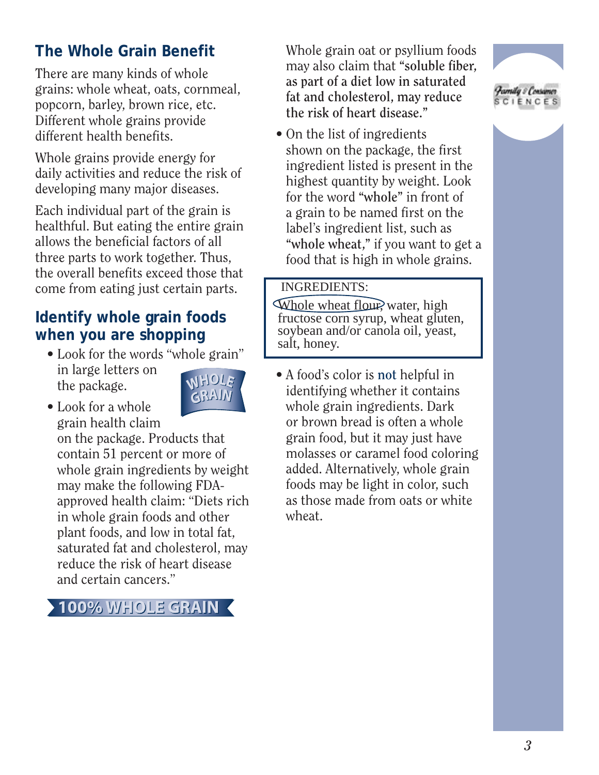# **The Whole Grain Benefit**

There are many kinds of whole grains: whole wheat, oats, cornmeal, popcorn, barley, brown rice, etc. Different whole grains provide different health benefits.

Whole grains provide energy for daily activities and reduce the risk of developing many major diseases.

Each individual part of the grain is healthful. But eating the entire grain allows the beneficial factors of all three parts to work together. Thus, the overall benefits exceed those that come from eating just certain parts.

# **Identify whole grain foods when you are shopping**

• Look for the words "whole grain" in large letters on WHOLE the package.



• Look for a whole grain health claim on the package. Products that contain 51 percent or more of whole grain ingredients by weight may make the following FDAapproved health claim: "Diets rich in whole grain foods and other plant foods, and low in total fat, saturated fat and cholesterol, may reduce the risk of heart disease and certain cancers."

100% WHOLE GRAIN

Whole grain oat or psyllium foods may also claim that **"soluble fiber, as part of a diet low in saturated fat and cholesterol, may reduce the risk of heart disease."**

• On the list of ingredients shown on the package, the first ingredient listed is present in the highest quantity by weight. Look for the word **"whole"** in front of a grain to be named first on the label's ingredient list, such as **"whole wheat,"** if you want to get a food that is high in whole grains.

#### INGREDIENTS:

Whole wheat flour, water, high<br>fructose corn syrup, wheat gluten, soybean and/or canola oil, yeast, salt, honey.

• A food's color is **not** helpful in identifying whether it contains whole grain ingredients. Dark or brown bread is often a whole grain food, but it may just have molasses or caramel food coloring added. Alternatively, whole grain foods may be light in color, such as those made from oats or white wheat.

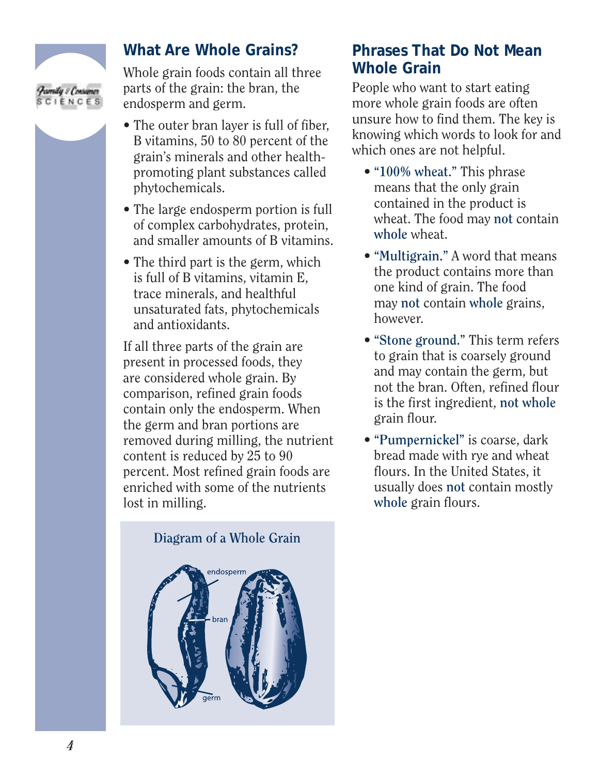

#### **What Are Whole Grains?**

Whole grain foods contain all three parts of the grain: the bran, the endosperm and germ.

- The outer bran layer is full of fiber, B vitamins, 50 to 80 percent of the grain's minerals and other healthpromoting plant substances called phytochemicals.
- The large endosperm portion is full of complex carbohydrates, protein, and smaller amounts of B vitamins.
- The third part is the germ, which is full of B vitamins, vitamin E, trace minerals, and healthful unsaturated fats, phytochemicals and antioxidants.

If all three parts of the grain are present in processed foods, they are considered whole grain. By comparison, refined grain foods contain only the endosperm. When the germ and bran portions are removed during milling, the nutrient content is reduced by 25 to 90 percent. Most refined grain foods are enriched with some of the nutrients lost in milling.

#### **Diagram of a Whole Grain**



#### **Phrases That Do Not Mean Whole Grain**

People who want to start eating more whole grain foods are often unsure how to find them. The key is knowing which words to look for and which ones are not helpful.

- **"100% wheat."** This phrase means that the only grain contained in the product is wheat. The food may **not** contain **whole** wheat.
- **"Multigrain."** A word that means the product contains more than one kind of grain. The food may **not** contain **whole** grains, however.
- **"Stone ground."** This term refers to grain that is coarsely ground and may contain the germ, but not the bran. Often, refined flour is the first ingredient, **not whole** grain flour.
- **"Pumpernickel"** is coarse, dark bread made with rye and wheat flours. In the United States, it usually does **not** contain mostly **whole** grain flours.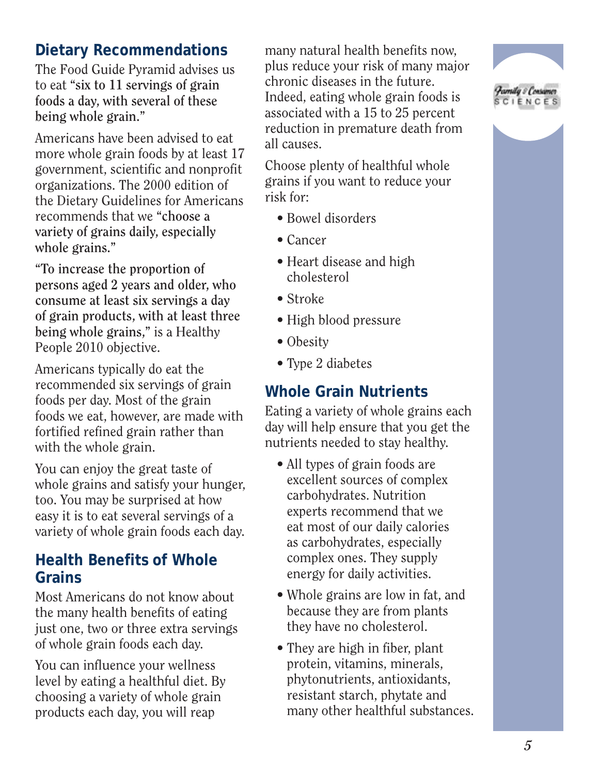# **Dietary Recommendations**

The Food Guide Pyramid advises us to eat **"six to 11 servings of grain foods a day, with several of these being whole grain."**

Americans have been advised to eat more whole grain foods by at least 17 government, scientific and nonprofit organizations. The 2000 edition of the Dietary Guidelines for Americans recommends that we **"choose a variety of grains daily, especially whole grains."**

**"To increase the proportion of persons aged 2 years and older, who consume at least six servings a day of grain products, with at least three being whole grains,"** is a Healthy People 2010 objective.

Americans typically do eat the recommended six servings of grain foods per day. Most of the grain foods we eat, however, are made with fortified refined grain rather than with the whole grain.

You can enjoy the great taste of whole grains and satisfy your hunger, too. You may be surprised at how easy it is to eat several servings of a variety of whole grain foods each day.

#### **Health Benefits of Whole Grains**

Most Americans do not know about the many health benefits of eating just one, two or three extra servings of whole grain foods each day.

You can influence your wellness level by eating a healthful diet. By choosing a variety of whole grain products each day, you will reap

many natural health benefits now, plus reduce your risk of many major chronic diseases in the future. Indeed, eating whole grain foods is associated with a 15 to 25 percent reduction in premature death from all causes.

Choose plenty of healthful whole grains if you want to reduce your risk for:

- Bowel disorders
- Cancer
- Heart disease and high cholesterol
- Stroke
- High blood pressure
- Obesity
- Type 2 diabetes

# **Whole Grain Nutrients**

Eating a variety of whole grains each day will help ensure that you get the nutrients needed to stay healthy.

- All types of grain foods are excellent sources of complex carbohydrates. Nutrition experts recommend that we eat most of our daily calories as carbohydrates, especially complex ones. They supply energy for daily activities.
- Whole grains are low in fat, and because they are from plants they have no cholesterol.
- They are high in fiber, plant protein, vitamins, minerals, phytonutrients, antioxidants, resistant starch, phytate and many other healthful substances.

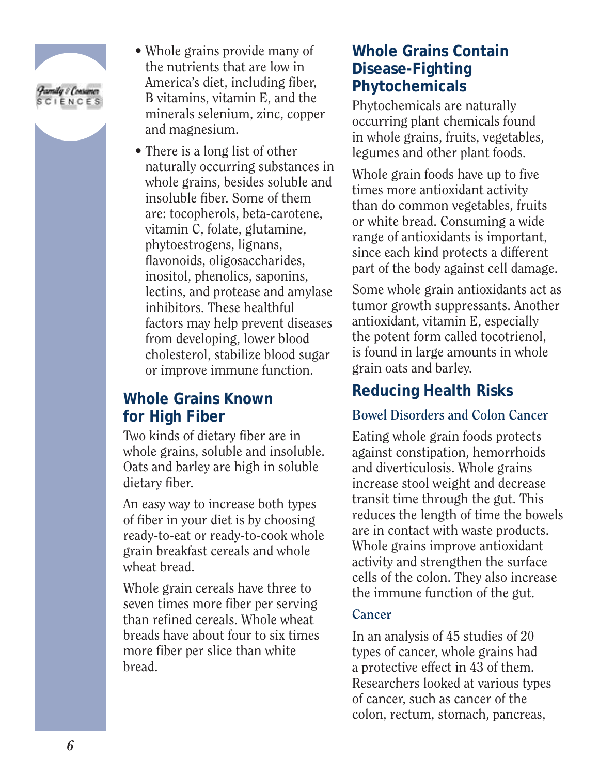

- Whole grains provide many of the nutrients that are low in America's diet, including fiber, B vitamins, vitamin E, and the minerals selenium, zinc, copper and magnesium.
- There is a long list of other naturally occurring substances in whole grains, besides soluble and insoluble fiber. Some of them are: tocopherols, beta-carotene, vitamin C, folate, glutamine, phytoestrogens, lignans, flavonoids, oligosaccharides, inositol, phenolics, saponins, lectins, and protease and amylase inhibitors. These healthful factors may help prevent diseases from developing, lower blood cholesterol, stabilize blood sugar or improve immune function.

#### **Whole Grains Known for High Fiber**

Two kinds of dietary fiber are in whole grains, soluble and insoluble. Oats and barley are high in soluble dietary fiber.

An easy way to increase both types of fiber in your diet is by choosing ready-to-eat or ready-to-cook whole grain breakfast cereals and whole wheat bread.

Whole grain cereals have three to seven times more fiber per serving than refined cereals. Whole wheat breads have about four to six times more fiber per slice than white bread.

#### **Whole Grains Contain Disease-Fighting Phytochemicals**

Phytochemicals are naturally occurring plant chemicals found in whole grains, fruits, vegetables, legumes and other plant foods.

Whole grain foods have up to five times more antioxidant activity than do common vegetables, fruits or white bread. Consuming a wide range of antioxidants is important, since each kind protects a different part of the body against cell damage.

Some whole grain antioxidants act as tumor growth suppressants. Another antioxidant, vitamin E, especially the potent form called tocotrienol, is found in large amounts in whole grain oats and barley.

# **Reducing Health Risks**

#### **Bowel Disorders and Colon Cancer**

Eating whole grain foods protects against constipation, hemorrhoids and diverticulosis. Whole grains increase stool weight and decrease transit time through the gut. This reduces the length of time the bowels are in contact with waste products. Whole grains improve antioxidant activity and strengthen the surface cells of the colon. They also increase the immune function of the gut.

#### **Cancer**

In an analysis of 45 studies of 20 types of cancer, whole grains had a protective effect in 43 of them. Researchers looked at various types of cancer, such as cancer of the colon, rectum, stomach, pancreas,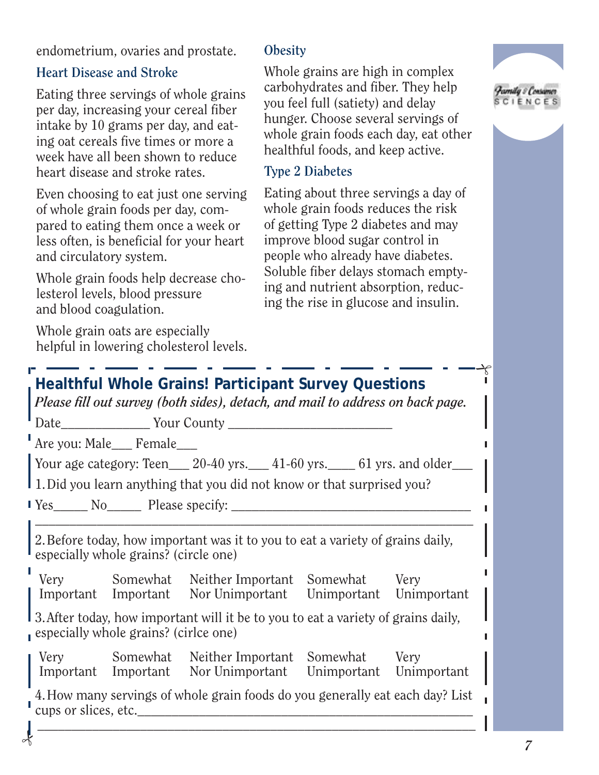endometrium, ovaries and prostate.

#### **Heart Disease and Stroke**

Eating three servings of whole grains per day, increasing your cereal fiber intake by 10 grams per day, and eating oat cereals five times or more a week have all been shown to reduce heart disease and stroke rates.

Even choosing to eat just one serving of whole grain foods per day, compared to eating them once a week or less often, is beneficial for your heart and circulatory system.

Whole grain foods help decrease cholesterol levels, blood pressure and blood coagulation.

Whole grain oats are especially helpful in lowering cholesterol levels.

 $\frac{1}{2}$ 

#### **Obesity**

Whole grains are high in complex carbohydrates and fiber. They help you feel full (satiety) and delay hunger. Choose several servings of whole grain foods each day, eat other healthful foods, and keep active.

#### **Type 2 Diabetes**

Eating about three servings a day of whole grain foods reduces the risk of getting Type 2 diabetes and may improve blood sugar control in people who already have diabetes. Soluble fiber delays stomach emptying and nutrient absorption, reducing the rise in glucose and insulin.



| Are you: Male___ Female___            |                                                                                   |  |
|---------------------------------------|-----------------------------------------------------------------------------------|--|
|                                       | Your age category: Teen____ 20-40 yrs.____ 41-60 yrs._____ 61 yrs. and older____  |  |
|                                       | 1. Did you learn anything that you did not know or that surprised you?            |  |
|                                       |                                                                                   |  |
| especially whole grains? (circle one) | Very Somewhat Neither Important Somewhat Very                                     |  |
|                                       | Important Important Nor Unimportant Unimportant Unimportant                       |  |
| especially whole grains? (cirice one) | 3. After today, how important will it be to you to eat a variety of grains daily, |  |